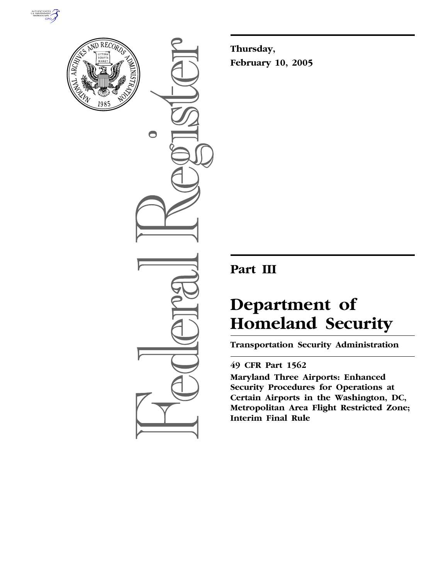



 $\bigcirc$ 

**Thursday, February 10, 2005**

# **Part III**

# **Department of Homeland Security**

**Transportation Security Administration** 

# **49 CFR Part 1562**

**Maryland Three Airports: Enhanced Security Procedures for Operations at Certain Airports in the Washington, DC, Metropolitan Area Flight Restricted Zone; Interim Final Rule**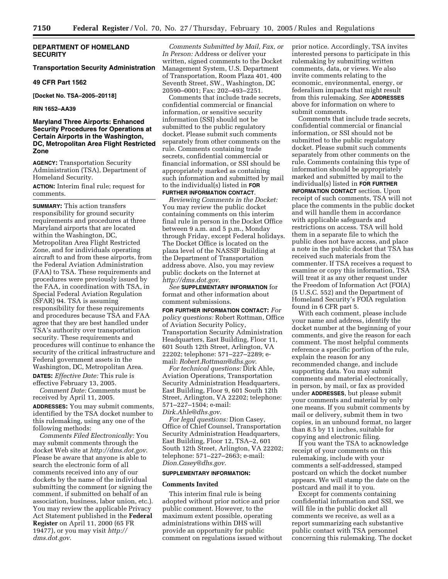# **DEPARTMENT OF HOMELAND SECURITY**

# **Transportation Security Administration**

## **49 CFR Part 1562**

**[Docket No. TSA–2005–20118]** 

# **RIN 1652–AA39**

# **Maryland Three Airports: Enhanced Security Procedures for Operations at Certain Airports in the Washington, DC, Metropolitan Area Flight Restricted Zone**

**AGENCY:** Transportation Security Administration (TSA), Department of Homeland Security.

**ACTION:** Interim final rule; request for comments.

**SUMMARY:** This action transfers responsibility for ground security requirements and procedures at three Maryland airports that are located within the Washington, DC, Metropolitan Area Flight Restricted Zone, and for individuals operating aircraft to and from these airports, from the Federal Aviation Administration (FAA) to TSA. These requirements and procedures were previously issued by the FAA, in coordination with TSA, in Special Federal Aviation Regulation (SFAR) 94. TSA is assuming responsibility for these requirements and procedures because TSA and FAA agree that they are best handled under TSA's authority over transportation security. These requirements and procedures will continue to enhance the security of the critical infrastructure and Federal government assets in the Washington, DC, Metropolitan Area. **DATES:** *Effective Date:* This rule is effective February 13, 2005.

*Comment Date:* Comments must be received by April 11, 2005.

**ADDRESSES:** You may submit comments, identified by the TSA docket number to this rulemaking, using any one of the following methods:

*Comments Filed Electronically:* You may submit comments through the docket Web site at *http://dms.dot.gov*. Please be aware that anyone is able to search the electronic form of all comments received into any of our dockets by the name of the individual submitting the comment (or signing the comment, if submitted on behalf of an association, business, labor union, etc.). You may review the applicable Privacy Act Statement published in the **Federal Register** on April 11, 2000 (65 FR 19477), or you may visit *http:// dms.dot.gov*.

*Comments Submitted by Mail, Fax, or In Person:* Address or deliver your written, signed comments to the Docket Management System, U.S. Department of Transportation, Room Plaza 401, 400 Seventh Street, SW., Washington, DC 20590–0001; Fax: 202–493–2251.

Comments that include trade secrets, confidential commercial or financial information, or sensitive security information (SSI) should not be submitted to the public regulatory docket. Please submit such comments separately from other comments on the rule. Comments containing trade secrets, confidential commercial or financial information, or SSI should be appropriately marked as containing such information and submitted by mail to the individual(s) listed in **FOR FURTHER INFORMATION CONTACT**.

*Reviewing Comments in the Docket:* You may review the public docket containing comments on this interim final rule in person in the Docket Office between 9 a.m. and 5 p.m., Monday through Friday, except Federal holidays. The Docket Office is located on the plaza level of the NASSIF Building at the Department of Transportation address above. Also, you may review public dockets on the Internet at *http://dms.dot.gov*.

*See* **SUPPLEMENTARY INFORMATION** for format and other information about comment submissions.

**FOR FURTHER INFORMATION CONTACT:** *For policy questions:* Robert Rottman, Office of Aviation Security Policy, Transportation Security Administration Headquarters, East Building, Floor 11, 601 South 12th Street, Arlington, VA 22202; telephone: 571–227–2289; email: *Robert.Rottman@dhs.gov*.

*For technical questions:* Dirk Ahle, Aviation Operations, Transportation Security Administration Headquarters, East Building, Floor 9, 601 South 12th Street, Arlington, VA 22202; telephone: 571–227–1504; e-mail: *Dirk.Ahle@dhs.gov*.

*For legal questions:* Dion Casey, Office of Chief Counsel, Transportation Security Administration Headquarters, East Building, Floor 12, TSA–2, 601 South 12th Street, Arlington, VA 22202; telephone: 571–227–2663; e-mail: *Dion.Casey@dhs.gov*.

#### **SUPPLEMENTARY INFORMATION:**

#### **Comments Invited**

This interim final rule is being adopted without prior notice and prior public comment. However, to the maximum extent possible, operating administrations within DHS will provide an opportunity for public comment on regulations issued without prior notice. Accordingly, TSA invites interested persons to participate in this rulemaking by submitting written comments, data, or views. We also invite comments relating to the economic, environmental, energy, or federalism impacts that might result from this rulemaking. *See* **ADDRESSES** above for information on where to submit comments.

Comments that include trade secrets, confidential commercial or financial information, or SSI should not be submitted to the public regulatory docket. Please submit such comments separately from other comments on the rule. Comments containing this type of information should be appropriately marked and submitted by mail to the individual(s) listed in **FOR FURTHER INFORMATION CONTACT** section. Upon receipt of such comments, TSA will not place the comments in the public docket and will handle them in accordance with applicable safeguards and restrictions on access. TSA will hold them in a separate file to which the public does not have access, and place a note in the public docket that TSA has received such materials from the commenter. If TSA receives a request to examine or copy this information, TSA will treat it as any other request under the Freedom of Information Act (FOIA) (5 U.S.C. 552) and the Department of Homeland Security's FOIA regulation found in 6 CFR part 5.

With each comment, please include your name and address, identify the docket number at the beginning of your comments, and give the reason for each comment. The most helpful comments reference a specific portion of the rule, explain the reason for any recommended change, and include supporting data. You may submit comments and material electronically, in person, by mail, or fax as provided under **ADDRESSES**, but please submit your comments and material by only one means. If you submit comments by mail or delivery, submit them in two copies, in an unbound format, no larger than 8.5 by 11 inches, suitable for copying and electronic filing.

If you want the TSA to acknowledge receipt of your comments on this rulemaking, include with your comments a self-addressed, stamped postcard on which the docket number appears. We will stamp the date on the postcard and mail it to you.

Except for comments containing confidential information and SSI, we will file in the public docket all comments we receive, as well as a report summarizing each substantive public contact with TSA personnel concerning this rulemaking. The docket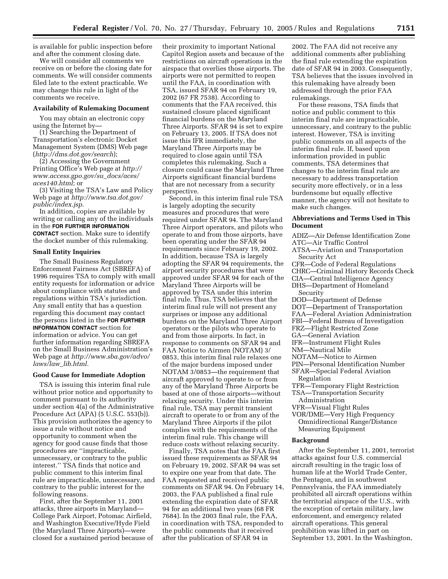is available for public inspection before and after the comment closing date.

We will consider all comments we receive on or before the closing date for comments. We will consider comments filed late to the extent practicable. We may change this rule in light of the comments we receive.

# **Availability of Rulemaking Document**

You may obtain an electronic copy using the Internet by—

(1) Searching the Department of Transportation's electronic Docket Management System (DMS) Web page (*http://dms.dot.gov/search*);

(2) Accessing the Government Printing Office's Web page at *http:// www.access.gpo.gov/su*\_*docs/aces/ aces140.html*; or

(3) Visiting the TSA's Law and Policy Web page at *http://www.tsa.dot.gov/ public/index.jsp*.

In addition, copies are available by writing or calling any of the individuals in the **FOR FURTHER INFORMATION CONTACT** section. Make sure to identify the docket number of this rulemaking.

#### **Small Entity Inquiries**

The Small Business Regulatory Enforcement Fairness Act (SBREFA) of 1996 requires TSA to comply with small entity requests for information or advice about compliance with statutes and regulations within TSA's jurisdiction. Any small entity that has a question regarding this document may contact the persons listed in the **FOR FURTHER INFORMATION CONTACT** section for information or advice. You can get further information regarding SBREFA on the Small Business Administration's Web page at *http://www.sba.gov/advo/ laws/law*\_*lib.html.*

# **Good Cause for Immediate Adoption**

TSA is issuing this interim final rule without prior notice and opportunity to comment pursuant to its authority under section 4(a) of the Administrative Procedure Act (APA) (5 U.S.C. 553(b)). This provision authorizes the agency to issue a rule without notice and opportunity to comment when the agency for good cause finds that those procedures are ''impracticable, unnecessary, or contrary to the public interest.'' TSA finds that notice and public comment to this interim final rule are impracticable, unnecessary, and contrary to the public interest for the following reasons.

First, after the September 11, 2001 attacks, three airports in Maryland— College Park Airport, Potomac Airfield, and Washington Executive/Hyde Field (the Maryland Three Airports)—were closed for a sustained period because of

their proximity to important National Capitol Region assets and because of the restrictions on aircraft operations in the airspace that overlies those airports. The airports were not permitted to reopen until the FAA, in coordination with TSA, issued SFAR 94 on February 19, 2002 (67 FR 7538). According to comments that the FAA received, this sustained closure placed significant financial burdens on the Maryland Three Airports. SFAR 94 is set to expire on February 13, 2005. If TSA does not issue this IFR immediately, the Maryland Three Airports may be required to close again until TSA completes this rulemaking. Such a closure could cause the Maryland Three Airports significant financial burdens that are not necessary from a security perspective.

Second, in this interim final rule TSA is largely adopting the security measures and procedures that were required under SFAR 94. The Maryland Three Airport operators, and pilots who operate to and from those airports, have been operating under the SFAR 94 requirements since February 19, 2002. In addition, because TSA is largely adopting the SFAR 94 requirements, the airport security procedures that were approved under SFAR 94 for each of the Maryland Three Airports will be approved by TSA under this interim final rule. Thus, TSA believes that the interim final rule will not present any surprises or impose any additional burdens on the Maryland Three Airport operators or the pilots who operate to and from those airports. In fact, in response to comments on SFAR 94 and FAA Notice to Airmen (NOTAM) 3/ 0853, this interim final rule relaxes one of the major burdens imposed under NOTAM 3/0853—the requirement that aircraft approved to operate to or from any of the Maryland Three Airports be based at one of those airports—without relaxing security. Under this interim final rule, TSA may permit transient aircraft to operate to or from any of the Maryland Three Airports if the pilot complies with the requirements of the interim final rule. This change will reduce costs without relaxing security.

Finally, TSA notes that the FAA first issued these requirements as SFAR 94 on February 19, 2002. SFAR 94 was set to expire one year from that date. The FAA requested and received public comments on SFAR 94. On February 14, 2003, the FAA published a final rule extending the expiration date of SFAR 94 for an additional two years (68 FR 7684). In the 2003 final rule, the FAA, in coordination with TSA, responded to the public comments that it received after the publication of SFAR 94 in

2002. The FAA did not receive any additional comments after publishing the final rule extending the expiration date of SFAR 94 in 2003. Consequently, TSA believes that the issues involved in this rulemaking have already been addressed through the prior FAA rulemakings.

For these reasons, TSA finds that notice and public comment to this interim final rule are impracticable, unnecessary, and contrary to the public interest. However, TSA is inviting public comments on all aspects of the interim final rule. If, based upon information provided in public comments, TSA determines that changes to the interim final rule are necessary to address transportation security more effectively, or in a less burdensome but equally effective manner, the agency will not hesitate to make such changes.

# **Abbreviations and Terms Used in This Document**

ADIZ—Air Defense Identification Zone

- ATC—Air Traffic Control
- ATSA—Aviation and Transportation Security Act
- CFR—Code of Federal Regulations
- CHRC—Criminal History Records Check
- CIA—Central Intelligence Agency DHS—Department of Homeland
- Security
- DOD—Department of Defense
- DOT—Department of Transportation
- FAA—Federal Aviation Administration
- FBI—Federal Bureau of Investigation
- FRZ—Flight Restricted Zone
- GA—General Aviation
- IFR—Instrument Flight Rules
- NM—Nautical Mile
- NOTAM—Notice to Airmen
- PIN—Personal Identification Number
- SFAR—Special Federal Aviation Regulation
- TFR—Temporary Flight Restriction
- TSA—Transportation Security
- Administration
- VFR—Visual Flight Rules
- VOR/DME—Very High Frequency Omnidirectional Range/Distance
- Measuring Equipment

# **Background**

After the September 11, 2001, terrorist attacks against four U.S. commercial aircraft resulting in the tragic loss of human life at the World Trade Center, the Pentagon, and in southwest Pennsylvania, the FAA immediately prohibited all aircraft operations within the territorial airspace of the U.S., with the exception of certain military, law enforcement, and emergency related aircraft operations. This general prohibition was lifted in part on September 13, 2001. In the Washington,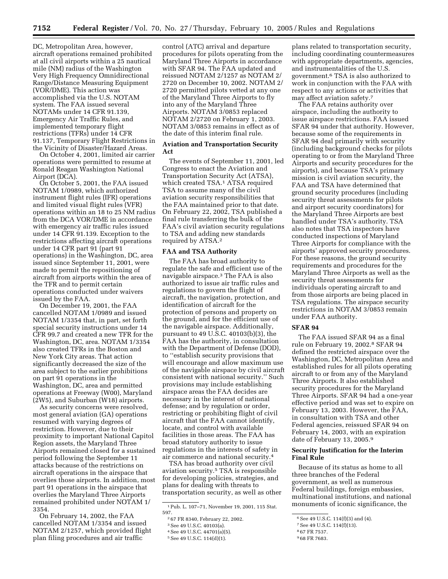DC, Metropolitan Area, however, aircraft operations remained prohibited at all civil airports within a 25 nautical mile (NM) radius of the Washington Very High Frequency Omnidirectional Range/Distance Measuring Equipment (VOR/DME). This action was accomplished via the U.S. NOTAM system. The FAA issued several NOTAMs under 14 CFR 91.139, Emergency Air Traffic Rules, and implemented temporary flight restrictions (TFRs) under 14 CFR 91.137, Temporary Flight Restrictions in the Vicinity of Disaster/Hazard Areas.

On October 4, 2001, limited air carrier operations were permitted to resume at Ronald Reagan Washington National Airport (DCA).

On October 5, 2001, the FAA issued NOTAM 1/0989, which authorized instrument flight rules (IFR) operations and limited visual flight rules (VFR) operations within an 18 to 25 NM radius from the DCA VOR/DME in accordance with emergency air traffic rules issued under 14 CFR 91.139. Exception to the restrictions affecting aircraft operations under 14 CFR part 91 (part 91 operations) in the Washington, DC, area issued since September 11, 2001, were made to permit the repositioning of aircraft from airports within the area of the TFR and to permit certain operations conducted under waivers issued by the FAA.

On December 19, 2001, the FAA cancelled NOTAM 1/0989 and issued NOTAM 1/3354 that, in part, set forth special security instructions under 14 CFR 99.7 and created a new TFR for the Washington, DC, area. NOTAM 1/3354 also created TFRs in the Boston and New York City areas. That action significantly decreased the size of the area subject to the earlier prohibitions on part 91 operations in the Washington, DC, area and permitted operations at Freeway (W00), Maryland (2W5), and Suburban (W18) airports.

As security concerns were resolved, most general aviation (GA) operations resumed with varying degrees of restriction. However, due to their proximity to important National Capitol Region assets, the Maryland Three Airports remained closed for a sustained period following the September 11 attacks because of the restrictions on aircraft operations in the airspace that overlies those airports. In addition, most part 91 operations in the airspace that overlies the Maryland Three Airports remained prohibited under NOTAM 1/ 3354.

On February 14, 2002, the FAA cancelled NOTAM 1/3354 and issued NOTAM 2/1257, which provided flight plan filing procedures and air traffic

control (ATC) arrival and departure procedures for pilots operating from the Maryland Three Airports in accordance with SFAR 94. The FAA updated and reissued NOTAM 2/1257 as NOTAM 2/ 2720 on December 10, 2002. NOTAM 2/ 2720 permitted pilots vetted at any one of the Maryland Three Airports to fly into any of the Maryland Three Airports. NOTAM 3/0853 replaced NOTAM 2/2720 on February 1, 2003. NOTAM 3/0853 remains in effect as of the date of this interim final rule.

# **Aviation and Transportation Security Act**

The events of September 11, 2001, led Congress to enact the Aviation and Transportation Security Act (ATSA), which created TSA.<sup>1</sup> ATSA required TSA to assume many of the civil aviation security responsibilities that the FAA maintained prior to that date. On February 22, 2002, TSA published a final rule transferring the bulk of the FAA's civil aviation security regulations to TSA and adding new standards required by ATSA.2

## **FAA and TSA Authority**

The FAA has broad authority to regulate the safe and efficient use of the navigable airspace.3 The FAA is also authorized to issue air traffic rules and regulations to govern the flight of aircraft, the navigation, protection, and identification of aircraft for the protection of persons and property on the ground, and for the efficient use of the navigable airspace. Additionally, pursuant to 49 U.S.C. 40103(b)(3), the FAA has the authority, in consultation with the Department of Defense (DOD), to ''establish security provisions that will encourage and allow maximum use of the navigable airspace by civil aircraft consistent with national security.'' Such provisions may include establishing airspace areas the FAA decides are necessary in the interest of national defense; and by regulation or order, restricting or prohibiting flight of civil aircraft that the FAA cannot identify, locate, and control with available facilities in those areas. The FAA has broad statutory authority to issue regulations in the interests of safety in air commerce and national security.4

TSA has broad authority over civil aviation security.5 TSA is responsible for developing policies, strategies, and plans for dealing with threats to transportation security, as well as other

plans related to transportation security, including coordinating countermeasures with appropriate departments, agencies, and instrumentalities of the U.S. government.6 TSA is also authorized to work in conjunction with the FAA with respect to any actions or activities that may affect aviation safety.7

The FAA retains authority over airspace, including the authority to issue airspace restrictions. FAA issued SFAR 94 under that authority. However, because some of the requirements in SFAR 94 deal primarily with security (including background checks for pilots operating to or from the Maryland Three Airports and security procedures for the airports), and because TSA's primary mission is civil aviation security, the FAA and TSA have determined that ground security procedures (including security threat assessments for pilots and airport security coordinators) for the Maryland Three Airports are best handled under TSA's authority. TSA also notes that TSA inspectors have conducted inspections of Maryland Three Airports for compliance with the airports' approved security procedures. For these reasons, the ground security requirements and procedures for the Maryland Three Airports as well as the security threat assessments for individuals operating aircraft to and from those airports are being placed in TSA regulations. The airspace security restrictions in NOTAM 3/0853 remain under FAA authority.

#### **SFAR 94**

The FAA issued SFAR 94 as a final rule on February 19, 2002.8 SFAR 94 defined the restricted airspace over the Washington, DC, Metropolitan Area and established rules for all pilots operating aircraft to or from any of the Maryland Three Airports. It also established security procedures for the Maryland Three Airports. SFAR 94 had a one-year effective period and was set to expire on February 13, 2003. However, the FAA, in consultation with TSA and other Federal agencies, reissued SFAR 94 on February 14, 2003, with an expiration date of February 13, 2005.9

# **Security Justification for the Interim Final Rule**

Because of its status as home to all three branches of the Federal government, as well as numerous Federal buildings, foreign embassies, multinational institutions, and national monuments of iconic significance, the

<sup>1</sup>Pub. L. 107–71, November 19, 2001, 115 Stat. 597.

<sup>2</sup> 67 FR 8340, February 22, 2002.

<sup>3</sup>See 49 U.S.C. 40103(a).

<sup>4</sup>See 49 U.S.C. 44701(a)(5).

<sup>5</sup>See 49 U.S.C. 114(d)(1).

<sup>6</sup>See 49 U.S.C. 114(f)(3) and (4).

<sup>7</sup>See 49 U.S.C. 114(f)(13).

<sup>8</sup> 67 FR 7537.

<sup>9</sup> 68 FR 7683.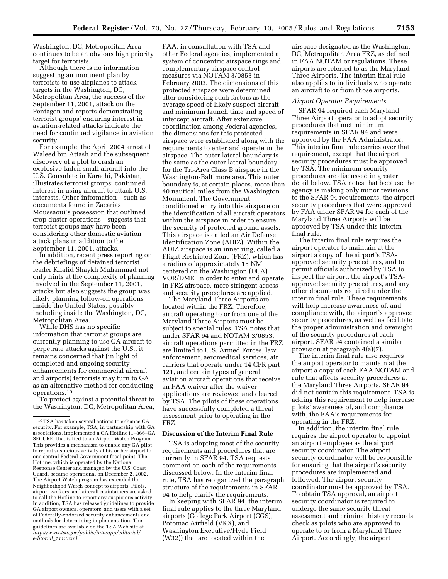Washington, DC, Metropolitan Area continues to be an obvious high priority target for terrorists.

Although there is no information suggesting an imminent plan by terrorists to use airplanes to attack targets in the Washington, DC, Metropolitan Area, the success of the September 11, 2001, attack on the Pentagon and reports demonstrating terrorist groups' enduring interest in aviation-related attacks indicate the need for continued vigilance in aviation security.

For example, the April 2004 arrest of Waleed bin Attash and the subsequent discovery of a plot to crash an explosive-laden small aircraft into the U.S. Consulate in Karachi, Pakistan, illustrates terrorist groups' continued interest in using aircraft to attack U.S. interests. Other information—such as documents found in Zacarias Moussaoui's possession that outlined crop duster operations—suggests that terrorist groups may have been considering other domestic aviation attack plans in addition to the September 11, 2001, attacks.

In addition, recent press reporting on the debriefings of detained terrorist leader Khalid Shaykh Muhammad not only hints at the complexity of planning involved in the September 11, 2001, attacks but also suggests the group was likely planning follow-on operations inside the United States, possibly including inside the Washington, DC, Metropolitan Area.

While DHS has no specific information that terrorist groups are currently planning to use GA aircraft to perpetrate attacks against the U.S., it remains concerned that (in light of completed and ongoing security enhancements for commercial aircraft and airports) terrorists may turn to GA as an alternative method for conducting operations.10

To protect against a potential threat to the Washington, DC, Metropolitan Area,

FAA, in consultation with TSA and other Federal agencies, implemented a system of concentric airspace rings and complementary airspace control measures via NOTAM 3/0853 in February 2003. The dimensions of this protected airspace were determined after considering such factors as the average speed of likely suspect aircraft and minimum launch time and speed of intercept aircraft. After extensive coordination among Federal agencies, the dimensions for this protected airspace were established along with the requirements to enter and operate in the airspace. The outer lateral boundary is the same as the outer lateral boundary for the Tri-Area Class B airspace in the Washington-Baltimore area. This outer boundary is, at certain places, more than 40 nautical miles from the Washington Monument. The Government conditioned entry into this airspace on the identification of all aircraft operators within the airspace in order to ensure the security of protected ground assets. This airspace is called an Air Defense Identification Zone (ADIZ). Within the ADIZ airspace is an inner ring, called a Flight Restricted Zone (FRZ), which has a radius of approximately 15 NM centered on the Washington (DCA) VOR/DME. In order to enter and operate in FRZ airspace, more stringent access and security procedures are applied.

The Maryland Three Airports are located within the FRZ. Therefore, aircraft operating to or from one of the Maryland Three Airports must be subject to special rules. TSA notes that under SFAR 94 and NOTAM 3/0853, aircraft operations permitted in the FRZ are limited to U.S. Armed Forces, law enforcement, aeromedical services, air carriers that operate under 14 CFR part 121, and certain types of general aviation aircraft operations that receive an FAA waiver after the waiver applications are reviewed and cleared by TSA. The pilots of these operations have successfully completed a threat assessment prior to operating in the FRZ.

#### **Discussion of the Interim Final Rule**

TSA is adopting most of the security requirements and procedures that are currently in SFAR 94. TSA requests comment on each of the requirements discussed below. In the interim final rule, TSA has reorganized the paragraph structure of the requirements in SFAR 94 to help clarify the requirements.

In keeping with SFAR 94, the interim final rule applies to the three Maryland airports (College Park Airport (CGS), Potomac Airfield (VKX), and Washington Executive/Hyde Field (W32)) that are located within the

airspace designated as the Washington, DC, Metropolitan Area FRZ, as defined in FAA NOTAM or regulations. These airports are referred to as the Maryland Three Airports. The interim final rule also applies to individuals who operate an aircraft to or from those airports.

#### *Airport Operator Requirements*

SFAR 94 required each Maryland Three Airport operator to adopt security procedures that met minimum requirements in SFAR 94 and were approved by the FAA Administrator. This interim final rule carries over that requirement, except that the airport security procedures must be approved by TSA. The minimum-security procedures are discussed in greater detail below. TSA notes that because the agency is making only minor revisions to the SFAR 94 requirements, the airport security procedures that were approved by FAA under SFAR 94 for each of the Maryland Three Airports will be approved by TSA under this interim final rule.

The interim final rule requires the airport operator to maintain at the airport a copy of the airport's TSAapproved security procedures, and to permit officials authorized by TSA to inspect the airport, the airport's TSAapproved security procedures, and any other documents required under the interim final rule. These requirements will help increase awareness of, and compliance with, the airport's approved security procedures, as well as facilitate the proper administration and oversight of the security procedures at each airport. SFAR 94 contained a similar provision at paragraph 4(a)(7).

The interim final rule also requires the airport operator to maintain at the airport a copy of each FAA NOTAM and rule that affects security procedures at the Maryland Three Airports. SFAR 94 did not contain this requirement. TSA is adding this requirement to help increase pilots' awareness of, and compliance with, the FAA's requirements for operating in the FRZ.

In addition, the interim final rule requires the airport operator to appoint an airport employee as the airport security coordinator. The airport security coordinator will be responsible for ensuring that the airport's security procedures are implemented and followed. The airport security coordinator must be approved by TSA. To obtain TSA approval, an airport security coordinator is required to undergo the same security threat assessment and criminal history records check as pilots who are approved to operate to or from a Maryland Three Airport. Accordingly, the airport

 $^{10}\mathrm{TSA}$  has taken several actions to enhance GA security. For example, TSA, in partnership with GA associations, implemented a GA Hotline (1–866–GA SECURE) that is tied to an Airport Watch Program. This provides a mechanism to enable any GA pilot to report suspicious activity at his or her airport to one central Federal Government focal point. The Hotline, which is operated by the National Response Center and managed by the U.S. Coast Guard, became operational on December 2, 2002. The Airport Watch program has extended the Neighborhood Watch concept to airports. Pilots, airport workers, and aircraft maintainers are asked to call the Hotline to report any suspicious activity. In addition, TSA has released guidelines to provide GA airport owners, operators, and users with a set of Federally-endorsed security enhancements and methods for determining implementation. The guidelines are available on the TSA Web site at *http://www.tsa.gov/public/interapp/editorial/ editorial*\_*1113.xml.*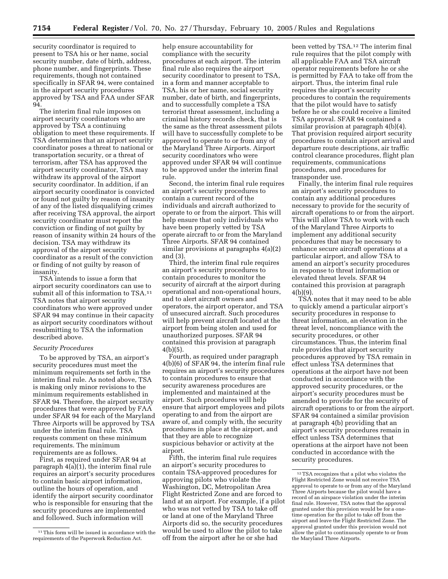security coordinator is required to present to TSA his or her name, social security number, date of birth, address, phone number, and fingerprints. These requirements, though not contained specifically in SFAR 94, were contained in the airport security procedures approved by TSA and FAA under SFAR 94.

The interim final rule imposes on airport security coordinators who are approved by TSA a continuing obligation to meet these requirements. If TSA determines that an airport security coordinator poses a threat to national or transportation security, or a threat of terrorism, after TSA has approved the airport security coordinator, TSA may withdraw its approval of the airport security coordinator. In addition, if an airport security coordinator is convicted or found not guilty by reason of insanity of any of the listed disqualifying crimes after receiving TSA approval, the airport security coordinator must report the conviction or finding of not guilty by reason of insanity within 24 hours of the decision. TSA may withdraw its approval of the airport security coordinator as a result of the conviction or finding of not guilty by reason of insanity.

TSA intends to issue a form that airport security coordinators can use to submit all of this information to TSA.11 TSA notes that airport security coordinators who were approved under SFAR 94 may continue in their capacity as airport security coordinators without resubmitting to TSA the information described above.

## *Security Procedures*

To be approved by TSA, an airport's security procedures must meet the minimum requirements set forth in the interim final rule. As noted above, TSA is making only minor revisions to the minimum requirements established in SFAR 94. Therefore, the airport security procedures that were approved by FAA under SFAR 94 for each of the Maryland Three Airports will be approved by TSA under the interim final rule. TSA requests comment on these minimum requirements. The minimum requirements are as follows.

First, as required under SFAR 94 at paragraph 4(a)(1), the interim final rule requires an airport's security procedures to contain basic airport information, outline the hours of operation, and identify the airport security coordinator who is responsible for ensuring that the security procedures are implemented and followed. Such information will

help ensure accountability for compliance with the security procedures at each airport. The interim final rule also requires the airport security coordinator to present to TSA, in a form and manner acceptable to TSA, his or her name, social security number, date of birth, and fingerprints, and to successfully complete a TSA terrorist threat assessment, including a criminal history records check, that is the same as the threat assessment pilots will have to successfully complete to be approved to operate to or from any of the Maryland Three Airports. Airport security coordinators who were approved under SFAR 94 will continue to be approved under the interim final rule.

Second, the interim final rule requires an airport's security procedures to contain a current record of the individuals and aircraft authorized to operate to or from the airport. This will help ensure that only individuals who have been properly vetted by TSA operate aircraft to or from the Maryland Three Airports. SFAR 94 contained similar provisions at paragraphs 4(a)(2) and (3).

Third, the interim final rule requires an airport's security procedures to contain procedures to monitor the security of aircraft at the airport during operational and non-operational hours, and to alert aircraft owners and operators, the airport operator, and TSA of unsecured aircraft. Such procedures will help prevent aircraft located at the airport from being stolen and used for unauthorized purposes. SFAR 94 contained this provision at paragraph 4(b)(5).

Fourth, as required under paragraph 4(b)(6) of SFAR 94, the interim final rule requires an airport's security procedures to contain procedures to ensure that security awareness procedures are implemented and maintained at the airport. Such procedures will help ensure that airport employees and pilots operating to and from the airport are aware of, and comply with, the security procedures in place at the airport, and that they are able to recognize suspicious behavior or activity at the airport.

Fifth, the interim final rule requires an airport's security procedures to contain TSA-approved procedures for approving pilots who violate the Washington, DC, Metropolitan Area Flight Restricted Zone and are forced to land at an airport. For example, if a pilot who was not vetted by TSA to take off or land at one of the Maryland Three Airports did so, the security procedures would be used to allow the pilot to take off from the airport after he or she had

been vetted by TSA.12 The interim final rule requires that the pilot comply with all applicable FAA and TSA aircraft operator requirements before he or she is permitted by FAA to take off from the airport. Thus, the interim final rule requires the airport's security procedures to contain the requirements that the pilot would have to satisfy before he or she could receive a limited TSA approval. SFAR 94 contained a similar provision at paragraph 4(b)(4). That provision required airport security procedures to contain airport arrival and departure route descriptions, air traffic control clearance procedures, flight plan requirements, communications procedures, and procedures for transponder use.

Finally, the interim final rule requires an airport's security procedures to contain any additional procedures necessary to provide for the security of aircraft operations to or from the airport. This will allow TSA to work with each of the Maryland Three Airports to implement any additional security procedures that may be necessary to enhance secure aircraft operations at a particular airport, and allow TSA to amend an airport's security procedures in response to threat information or elevated threat levels. SFAR 94 contained this provision at paragraph 4(b)(9).

TSA notes that it may need to be able to quickly amend a particular airport's security procedures in response to threat information, an elevation in the threat level, noncompliance with the security procedures, or other circumstances. Thus, the interim final rule provides that airport security procedures approved by TSA remain in effect unless TSA determines that operations at the airport have not been conducted in accordance with the approved security procedures, or the airport's security procedures must be amended to provide for the security of aircraft operations to or from the airport. SFAR 94 contained a similar provision at paragraph 4(b) providing that an airport's security procedures remain in effect unless TSA determines that operations at the airport have not been conducted in accordance with the security procedures.

<sup>&</sup>lt;sup>11</sup>This form will be issued in accordance with the requirements of the Paperwork Reduction Act.

<sup>12</sup>TSA recognizes that a pilot who violates the Flight Restricted Zone would not receive TSA approval to operate to or from any of the Maryland Three Airports because the pilot would have a record of an airspace violation under the interim final rule. However, TSA notes that the approval granted under this provision would be for a onetime operation for the pilot to take off from the airport and leave the Flight Restricted Zone. The approval granted under this provision would not allow the pilot to continuously operate to or from the Maryland Three Airports.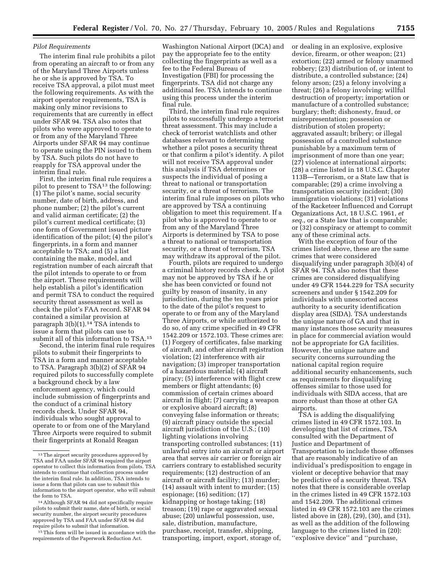# *Pilot Requirements*

The interim final rule prohibits a pilot from operating an aircraft to or from any of the Maryland Three Airports unless he or she is approved by TSA. To receive TSA approval, a pilot must meet the following requirements. As with the airport operator requirements, TSA is making only minor revisions to requirements that are currently in effect under SFAR 94. TSA also notes that pilots who were approved to operate to or from any of the Maryland Three Airports under SFAR 94 may continue to operate using the PIN issued to them by TSA. Such pilots do not have to reapply for TSA approval under the interim final rule.

First, the interim final rule requires a pilot to present to TSA13 the following: (1) The pilot's name, social security number, date of birth, address, and phone number; (2) the pilot's current and valid airman certificate; (2) the pilot's current medical certificate; (3) one form of Government issued picture identification of the pilot; (4) the pilot's fingerprints, in a form and manner acceptable to TSA; and (5) a list containing the make, model, and registration number of each aircraft that the pilot intends to operate to or from the airport. These requirements will help establish a pilot's identification and permit TSA to conduct the required security threat assessment as well as check the pilot's FAA record. SFAR 94 contained a similar provision at paragraph  $3(b)(1).<sup>14</sup>$  TSA intends to issue a form that pilots can use to submit all of this information to TSA.15

Second, the interim final rule requires pilots to submit their fingerprints to TSA in a form and manner acceptable to TSA. Paragraph 3(b)(2) of SFAR 94 required pilots to successfully complete a background check by a law enforcement agency, which could include submission of fingerprints and the conduct of a criminal history records check. Under SFAR 94, individuals who sought approval to operate to or from one of the Maryland Three Airports were required to submit their fingerprints at Ronald Reagan

<sup>15</sup> This form will be issued in accordance with the requirements of the Paperwork Reduction Act.

Washington National Airport (DCA) and pay the appropriate fee to the entity collecting the fingerprints as well as a fee to the Federal Bureau of Investigation (FBI) for processing the fingerprints. TSA did not charge any additional fee. TSA intends to continue using this process under the interim final rule.

Third, the interim final rule requires pilots to successfully undergo a terrorist threat assessment. This may include a check of terrorist watchlists and other databases relevant to determining whether a pilot poses a security threat or that confirm a pilot's identity. A pilot will not receive TSA approval under this analysis if TSA determines or suspects the individual of posing a threat to national or transportation security, or a threat of terrorism. The interim final rule imposes on pilots who are approved by TSA a continuing obligation to meet this requirement. If a pilot who is approved to operate to or from any of the Maryland Three Airports is determined by TSA to pose a threat to national or transportation security, or a threat of terrorism, TSA may withdraw its approval of the pilot.

Fourth, pilots are required to undergo a criminal history records check. A pilot may not be approved by TSA if he or she has been convicted or found not guilty by reason of insanity, in any jurisdiction, during the ten years prior to the date of the pilot's request to operate to or from any of the Maryland Three Airports, or while authorized to do so, of any crime specified in 49 CFR 1542.209 or 1572.103. These crimes are: (1) Forgery of certificates, false marking of aircraft, and other aircraft registration violation; (2) interference with air navigation; (3) improper transportation of a hazardous material; (4) aircraft piracy; (5) interference with flight crew members or flight attendants; (6) commission of certain crimes aboard aircraft in flight; (7) carrying a weapon or explosive aboard aircraft; (8) conveying false information or threats; (9) aircraft piracy outside the special aircraft jurisdiction of the U.S.; (10) lighting violations involving transporting controlled substances; (11) unlawful entry into an aircraft or airport area that serves air carrier or foreign air carriers contrary to established security requirements; (12) destruction of an aircraft or aircraft facility; (13) murder; (14) assault with intent to murder; (15) espionage; (16) sedition; (17) kidnapping or hostage taking; (18) treason; (19) rape or aggravated sexual abuse; (20) unlawful possession, use, sale, distribution, manufacture, purchase, receipt, transfer, shipping, transporting, import, export, storage of,

or dealing in an explosive, explosive device, firearm, or other weapon; (21) extortion; (22) armed or felony unarmed robbery; (23) distribution of, or intent to distribute, a controlled substance; (24) felony arson; (25) a felony involving a threat; (26) a felony involving: willful destruction of property; importation or manufacture of a controlled substance; burglary; theft; dishonesty, fraud, or misrepresentation; possession or distribution of stolen property; aggravated assault; bribery; or illegal possession of a controlled substance punishable by a maximum term of imprisonment of more than one year; (27) violence at international airports; (28) a crime listed in 18 U.S.C. Chapter 113B—Terrorism, or a State law that is comparable; (29) a crime involving a transportation security incident; (30) immigration violations; (31) violations of the Racketeer Influenced and Corrupt Organizations Act, 18 U.S.C. 1961, *et seq.*, or a State law that is comparable; or (32) conspiracy or attempt to commit any of these criminal acts.

With the exception of four of the crimes listed above, these are the same crimes that were considered disqualifying under paragraph 3(b)(4) of SFAR 94. TSA also notes that these crimes are considered disqualifying under 49 CFR 1544.229 for TSA security screeners and under § 1542.209 for individuals with unescorted access authority to a security identification display area (SIDA). TSA understands the unique nature of GA and that in many instances those security measures in place for commercial aviation would not be appropriate for GA facilities. However, the unique nature and security concerns surrounding the national capital region require additional security enhancements, such as requirements for disqualifying offenses similar to those used for individuals with SIDA access, that are more robust than those at other GA airports.

TSA is adding the disqualifying crimes listed in 49 CFR 1572.103. In developing that list of crimes, TSA consulted with the Department of Justice and Department of Transportation to include those offenses that are reasonably indicative of an individual's predisposition to engage in violent or deceptive behavior that may be predictive of a security threat. TSA notes that there is considerable overlap in the crimes listed in 49 CFR 1572.103 and 1542.209. The additional crimes listed in 49 CFR 1572.103 are the crimes listed above in (28), (29), (30), and (31), as well as the addition of the following language to the crimes listed in (20): ''explosive device'' and ''purchase,

<sup>13</sup>The airport security procedures approved by TSA and FAA under SFAR 94 required the airport operator to collect this information from pilots. TSA intends to continue that collection process under the interim final rule. In addition, TSA intends to issue a form that pilots can use to submit this information to the airport operator, who will submit the form to TSA.

<sup>14</sup>Although SFAR 94 did not specifically require pilots to submit their name, date of birth, or social security number, the airport security procedures approved by TSA and FAA under SFAR 94 did require pilots to submit that information.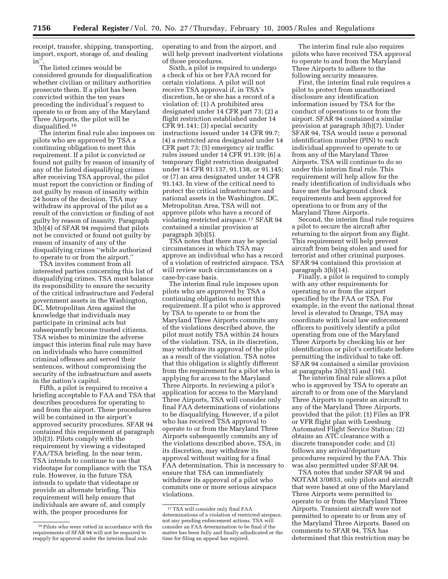receipt, transfer, shipping, transporting, import, export, storage of, and dealing in''.

The listed crimes would be considered grounds for disqualification whether civilian or military authorities prosecute them. If a pilot has been convicted within the ten years preceding the individual's request to operate to or from any of the Maryland Three Airports, the pilot will be disqualified.16

The interim final rule also imposes on pilots who are approved by TSA a continuing obligation to meet this requirement. If a pilot is convicted or found not guilty by reason of insanity of any of the listed disqualifying crimes after receiving TSA approval, the pilot must report the conviction or finding of not guilty by reason of insanity within 24 hours of the decision. TSA may withdraw its approval of the pilot as a result of the conviction or finding of not guilty by reason of insanity. Paragraph 3(b)(4) of SFAR 94 required that pilots not be convicted or found not guilty by reason of insanity of any of the disqualifying crimes ''while authorized to operate to or from the airport.''

TSA invites comment from all interested parties concerning this list of disqualifying crimes. TSA must balance its responsibility to ensure the security of the critical infrastructure and Federal government assets in the Washington, DC, Metropolitan Area against the knowledge that individuals may participate in criminal acts but subsequently become trusted citizens. TSA wishes to minimize the adverse impact this interim final rule may have on individuals who have committed criminal offenses and served their sentences, without compromising the security of the infrastructure and assets in the nation's capitol.

Fifth, a pilot is required to receive a briefing acceptable to FAA and TSA that describes procedures for operating to and from the airport. These procedures will be contained in the airport's approved security procedures. SFAR 94 contained this requirement at paragraph 3(b)(3). Pilots comply with the requirement by viewing a videotaped FAA/TSA briefing. In the near term, TSA intends to continue to use that videotape for compliance with the TSA rule. However, in the future TSA intends to update that videotape or provide an alternate briefing. This requirement will help ensure that individuals are aware of, and comply with, the proper procedures for

operating to and from the airport, and will help prevent inadvertent violations of those procedures.

Sixth, a pilot is required to undergo a check of his or her FAA record for certain violations. A pilot will not receive TSA approval if, in TSA's discretion, he or she has a record of a violation of: (1) A prohibited area designated under 14 CFR part 73; (2) a flight restriction established under 14 CFR 91.141; (3) special security instructions issued under 14 CFR 99.7; (4) a restricted area designated under 14 CFR part 73; (5) emergency air traffic rules issued under 14 CFR 91.139; (6) a temporary flight restriction designated under 14 CFR 91.137, 91.138, or 91.145; or (7) an area designated under 14 CFR 91.143. In view of the critical need to protect the critical infrastructure and national assets in the Washington, DC, Metropolitan Area, TSA will not approve pilots who have a record of violating restricted airspace.17 SFAR 94 contained a similar provision at paragraph 3(b)(5).

TSA notes that there may be special circumstances in which TSA may approve an individual who has a record of a violation of restricted airspace. TSA will review such circumstances on a case-by-case basis.

The interim final rule imposes upon pilots who are approved by TSA a continuing obligation to meet this requirement. If a pilot who is approved by TSA to operate to or from the Maryland Three Airports commits any of the violations described above, the pilot must notify TSA within 24 hours of the violation. TSA, in its discretion, may withdraw its approval of the pilot as a result of the violation. TSA notes that this obligation is slightly different from the requirement for a pilot who is applying for access to the Maryland Three Airports. In reviewing a pilot's application for access to the Maryland Three Airports, TSA will consider only final FAA determinations of violations to be disqualifying. However, if a pilot who has received TSA approval to operate to or from the Maryland Three Airports subsequently commits any of the violations described above, TSA, in its discretion, may withdraw its approval without waiting for a final FAA determination. This is necessary to ensure that TSA can immediately withdraw its approval of a pilot who commits one or more serious airspace violations.

The interim final rule also requires pilots who have received TSA approval to operate to and from the Maryland Three Airports to adhere to the following security measures.

First, the interim final rule requires a pilot to protect from unauthorized disclosure any identification information issued by TSA for the conduct of operations to or from the airport. SFAR 94 contained a similar provision at paragraph 3(b)(7). Under SFAR 94, TSA would issue a personal identification number (PIN) to each individual approved to operate to or from any of the Maryland Three Airports. TSA will continue to do so under this interim final rule. This requirement will help allow for the ready identification of individuals who have met the background check requirements and been approved for operations to or from any of the Maryland Three Airports.

Second, the interim final rule requires a pilot to secure the aircraft after returning to the airport from any flight. This requirement will help prevent aircraft from being stolen and used for terrorist and other criminal purposes. SFAR 94 contained this provision at paragraph 3(b)(14).

Finally, a pilot is required to comply with any other requirements for operating to or from the airport specified by the FAA or TSA. For example, in the event the national threat level is elevated to Orange, TSA may coordinate with local law enforcement officers to positively identify a pilot operating from one of the Maryland Three Airports by checking his or her identification or pilot's certificate before permitting the individual to take off. SFAR 94 contained a similar provision at paragraphs  $3(b)(15)$  and  $(16)$ .

The interim final rule allows a pilot who is approved by TSA to operate an aircraft to or from one of the Maryland Three Airports to operate an aircraft to any of the Maryland Three Airports, provided that the pilot: (1) Files an IFR or VFR flight plan with Leesburg Automated Flight Service Station; (2) obtains an ATC clearance with a discrete transponder code; and (3) follows any arrival/departure procedures required by the FAA. This was also permitted under SFAR 94.

TSA notes that under SFAR 94 and NOTAM 3/0853, only pilots and aircraft that were based at one of the Maryland Three Airports were permitted to operate to or from the Maryland Three Airports. Transient aircraft were not permitted to operate to or from any of the Maryland Three Airports. Based on comments to SFAR 94, TSA has determined that this restriction may be

 $^{16}\rm{Pilots}$  who were vetted in accordance with the requirements of SFAR 94 will not be required to reapply for approval under the interim final rule.

<sup>17</sup>TSA will consider only final FAA determinations of a violation of restricted airspace, not any pending enforcement actions. TSA will consider an FAA determination to be final if the matter has been fully and finally adjudicated or the time for filing an appeal has expired.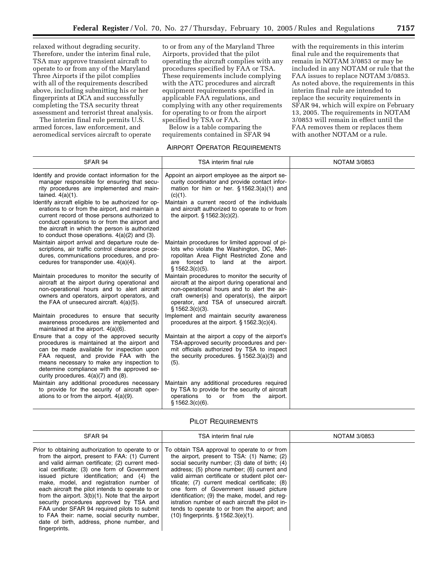relaxed without degrading security. Therefore, under the interim final rule, TSA may approve transient aircraft to operate to or from any of the Maryland Three Airports if the pilot complies with all of the requirements described above, including submitting his or her fingerprints at DCA and successfully completing the TSA security threat assessment and terrorist threat analysis.

The interim final rule permits U.S. armed forces, law enforcement, and aeromedical services aircraft to operate to or from any of the Maryland Three Airports, provided that the pilot operating the aircraft complies with any procedures specified by FAA or TSA. These requirements include complying with the ATC procedures and aircraft equipment requirements specified in applicable FAA regulations, and complying with any other requirements for operating to or from the airport specified by TSA or FAA.

Below is a table comparing the requirements contained in SFAR 94

# AIRPORT OPERATOR REQUIREMENTS

with the requirements in this interim final rule and the requirements that remain in NOTAM 3/0853 or may be included in any NOTAM or rule that the FAA issues to replace NOTAM 3/0853. As noted above, the requirements in this interim final rule are intended to replace the security requirements in SFAR 94, which will expire on February 13, 2005. The requirements in NOTAM 3/0853 will remain in effect until the FAA removes them or replaces them with another NOTAM or a rule.

| SFAR 94                                                                                                                                                                                                                                                                                                                 | TSA interim final rule                                                                                                                                                                                                                                        | <b>NOTAM 3/0853</b> |
|-------------------------------------------------------------------------------------------------------------------------------------------------------------------------------------------------------------------------------------------------------------------------------------------------------------------------|---------------------------------------------------------------------------------------------------------------------------------------------------------------------------------------------------------------------------------------------------------------|---------------------|
| Identify and provide contact information for the<br>manager responsible for ensuring that secu-<br>rity procedures are implemented and main-<br>tained. $4(a)(1)$ .                                                                                                                                                     | Appoint an airport employee as the airport se-<br>curity coordinator and provide contact infor-<br>mation for him or her. $\S$ 1562.3(a)(1) and<br>(c)(1).                                                                                                    |                     |
| Identify aircraft eligible to be authorized for op-<br>erations to or from the airport, and maintain a<br>current record of those persons authorized to<br>conduct operations to or from the airport and<br>the aircraft in which the person is authorized<br>to conduct those operations. $4(a)(2)$ and (3).           | Maintain a current record of the individuals<br>and aircraft authorized to operate to or from<br>the airport. $§ 1562.3(c)(2)$ .                                                                                                                              |                     |
| Maintain airport arrival and departure route de-<br>scriptions, air traffic control clearance proce-<br>dures, communications procedures, and pro-<br>cedures for transponder use. $4(a)(4)$ .                                                                                                                          | Maintain procedures for limited approval of pi-<br>lots who violate the Washington, DC, Met-<br>ropolitan Area Flight Restricted Zone and<br>are forced to land at the airport.<br>$$1562.3(c)(5)$ .                                                          |                     |
| Maintain procedures to monitor the security of<br>aircraft at the airport during operational and<br>non-operational hours and to alert aircraft<br>owners and operators, airport operators, and<br>the FAA of unsecured aircraft. 4(a)(5).                                                                              | Maintain procedures to monitor the security of<br>aircraft at the airport during operational and<br>non-operational hours and to alert the air-<br>craft owner(s) and operator(s), the airport<br>operator, and TSA of unsecured aircraft.<br>§ 1562.3(c)(3). |                     |
| Maintain procedures to ensure that security<br>awareness procedures are implemented and<br>maintained at the airport. 4(a)(6).                                                                                                                                                                                          | Implement and maintain security awareness<br>procedures at the airport. $\S 1562.3(c)(4)$ .                                                                                                                                                                   |                     |
| Ensure that a copy of the approved security<br>procedures is maintained at the airport and<br>can be made available for inspection upon<br>FAA request, and provide FAA with the<br>means necessary to make any inspection to<br>determine compliance with the approved se-<br>curity procedures. $4(a)(7)$ and $(8)$ . | Maintain at the airport a copy of the airport's<br>TSA-approved security procedures and per-<br>mit officials authorized by TSA to inspect<br>the security procedures. $\S$ 1562.3(a)(3) and<br>(5).                                                          |                     |
| Maintain any additional procedures necessary<br>to provide for the security of aircraft oper-<br>ations to or from the airport. $4(a)(9)$ .                                                                                                                                                                             | Maintain any additional procedures required<br>by TSA to provide for the security of aircraft<br>operations to or from the<br>airport.<br>$$1562.3(c)(6)$ .                                                                                                   |                     |

# PILOT REQUIREMENTS

| SFAR 94                                                                                                                                                                                                                                                                                                                                                                                                                                                                                                                                                                                                         | TSA interim final rule<br>NOTAM 3/0853                                                                                                                                                                                                                                                                                                                                                                                                                                                                                              |  |  |
|-----------------------------------------------------------------------------------------------------------------------------------------------------------------------------------------------------------------------------------------------------------------------------------------------------------------------------------------------------------------------------------------------------------------------------------------------------------------------------------------------------------------------------------------------------------------------------------------------------------------|-------------------------------------------------------------------------------------------------------------------------------------------------------------------------------------------------------------------------------------------------------------------------------------------------------------------------------------------------------------------------------------------------------------------------------------------------------------------------------------------------------------------------------------|--|--|
| Prior to obtaining authorization to operate to or<br>from the airport, present to FAA: (1) Current<br>and valid airman certificate; (2) current med-<br>ical certificate; (3) one form of Government<br>issued picture identification; and (4) the<br>make, model, and registration number of<br>each aircraft the pilot intends to operate to or<br>from the airport. $3(b)(1)$ . Note that the airport<br>security procedures approved by TSA and<br>FAA under SFAR 94 required pilots to submit<br>to FAA their: name, social security number,<br>date of birth, address, phone number, and<br>fingerprints. | To obtain TSA approval to operate to or from<br>the airport, present to TSA: (1) Name; (2)<br>social security number; (3) date of birth; (4)<br>address; (5) phone number; (6) current and<br>valid airman certificate or student pilot cer-<br>tificate; (7) current medical certificate; (8)<br>one form of Government issued picture<br>identification; (9) the make, model, and reg-<br>istration number of each aircraft the pilot in-<br>tends to operate to or from the airport; and<br>$(10)$ fingerprints. § 1562.3(e)(1). |  |  |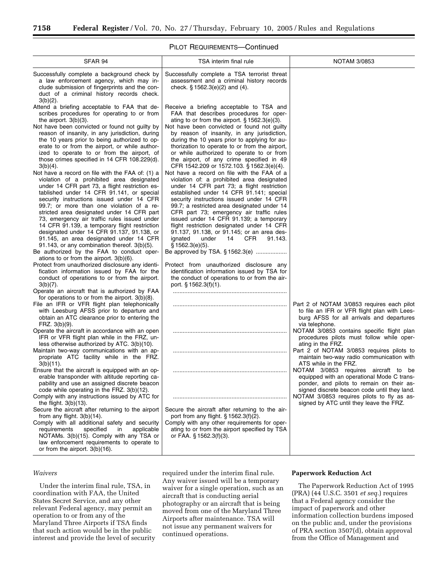# PILOT REQUIREMENTS—Continued

| SFAR 94                                                                                                                                                                                                                                                                                                                                                                                                                                                                                                                                                                                                                                                                                                                                                                                                                                                                                                                                                                                                                                                                                                                                                                                                                                                                                                                                                                                                                                                            | TSA interim final rule                                                                                                                                                                                                                                                                                                                                                                                                                                                                                                                                                                                                                                                                                                                                                                                                                                                                                                                                                                                                                                                                                                                                                                                                                | <b>NOTAM 3/0853</b>                                                                                                                                                                                                                                                                                                                            |  |  |
|--------------------------------------------------------------------------------------------------------------------------------------------------------------------------------------------------------------------------------------------------------------------------------------------------------------------------------------------------------------------------------------------------------------------------------------------------------------------------------------------------------------------------------------------------------------------------------------------------------------------------------------------------------------------------------------------------------------------------------------------------------------------------------------------------------------------------------------------------------------------------------------------------------------------------------------------------------------------------------------------------------------------------------------------------------------------------------------------------------------------------------------------------------------------------------------------------------------------------------------------------------------------------------------------------------------------------------------------------------------------------------------------------------------------------------------------------------------------|---------------------------------------------------------------------------------------------------------------------------------------------------------------------------------------------------------------------------------------------------------------------------------------------------------------------------------------------------------------------------------------------------------------------------------------------------------------------------------------------------------------------------------------------------------------------------------------------------------------------------------------------------------------------------------------------------------------------------------------------------------------------------------------------------------------------------------------------------------------------------------------------------------------------------------------------------------------------------------------------------------------------------------------------------------------------------------------------------------------------------------------------------------------------------------------------------------------------------------------|------------------------------------------------------------------------------------------------------------------------------------------------------------------------------------------------------------------------------------------------------------------------------------------------------------------------------------------------|--|--|
| Successfully complete a background check by<br>a law enforcement agency, which may in-<br>clude submission of fingerprints and the con-<br>duct of a criminal history records check.                                                                                                                                                                                                                                                                                                                                                                                                                                                                                                                                                                                                                                                                                                                                                                                                                                                                                                                                                                                                                                                                                                                                                                                                                                                                               | Successfully complete a TSA terrorist threat<br>assessment and a criminal history records<br>check. $§ 1562.3(e)(2)$ and (4).                                                                                                                                                                                                                                                                                                                                                                                                                                                                                                                                                                                                                                                                                                                                                                                                                                                                                                                                                                                                                                                                                                         |                                                                                                                                                                                                                                                                                                                                                |  |  |
| $3(b)(2)$ .<br>Attend a briefing acceptable to FAA that de-<br>scribes procedures for operating to or from<br>the airport. $3(b)(3)$ .<br>Not have been convicted or found not guilty by<br>reason of insanity, in any jurisdiction, during<br>the 10 years prior to being authorized to op-<br>erate to or from the airport, or while author-<br>ized to operate to or from the airport, of<br>those crimes specified in 14 CFR 108.229(d).<br>$3(b)(4)$ .<br>Not have a record on file with the FAA of: (1) a<br>violation of a prohibited area designated<br>under 14 CFR part 73, a flight restriction es-<br>tablished under 14 CFR 91.141, or special<br>security instructions issued under 14 CFR<br>99.7; or more than one violation of a re-<br>stricted area designated under 14 CFR part<br>73, emergency air traffic rules issued under<br>14 CFR 91.139, a temporary flight restriction<br>designated under 14 CFR 91.137, 91.138, or<br>91.145, an area designated under 14 CFR<br>91.143, or any combination thereof. 3(b)(5).<br>Be authorized by the FAA to conduct oper-<br>ations to or from the airport. $3(b)(6)$ .<br>Protect from unauthorized disclosure any identi-<br>fication information issued by FAA for the<br>conduct of operations to or from the airport.<br>$3(b)(7)$ .<br>Operate an aircraft that is authorized by FAA<br>for operations to or from the airport. $3(b)(8)$ .<br>File an IFR or VFR flight plan telephonically | Receive a briefing acceptable to TSA and<br>FAA that describes procedures for oper-<br>ating to or from the airport. $\S 1562.3(e)(3)$ .<br>Not have been convicted or found not guilty<br>by reason of insanity, in any jurisdiction,<br>during the 10 years prior to applying for au-<br>thorization to operate to or from the airport,<br>or while authorized to operate to or from<br>the airport, of any crime specified in 49<br>CFR 1542.209 or 1572.103. § 1562.3(e)(4).<br>Not have a record on file with the FAA of a<br>violation of: a prohibited area designated<br>under 14 CFR part 73; a flight restriction<br>established under 14 CFR 91.141; special<br>security instructions issued under 14 CFR<br>99.7; a restricted area designated under 14<br>CFR part 73; emergency air traffic rules<br>issued under 14 CFR 91.139; a temporary<br>flight restriction designated under 14 CFR<br>91.137, 91.138, or 91.145; or an area des-<br>ignated<br>under<br>14<br><b>CFR</b><br>91.143.<br>\$1562.3(e)(5).<br>Be approved by TSA. § 1562.3(e)<br>Protect from unauthorized disclosure any<br>identification information issued by TSA for<br>the conduct of operations to or from the air-<br>port. § 1562.3(f)(1). | Part 2 of NOTAM 3/0853 requires each pilot                                                                                                                                                                                                                                                                                                     |  |  |
| with Leesburg AFSS prior to departure and<br>obtain an ATC clearance prior to entering the<br>FRZ. 3(b)(9).<br>Operate the aircraft in accordance with an open<br>IFR or VFR flight plan while in the FRZ, un-<br>less otherwise authorized by ATC. 3(b)(10).<br>Maintain two-way communications with an ap-<br>propriate ATC facility while in the FRZ.                                                                                                                                                                                                                                                                                                                                                                                                                                                                                                                                                                                                                                                                                                                                                                                                                                                                                                                                                                                                                                                                                                           |                                                                                                                                                                                                                                                                                                                                                                                                                                                                                                                                                                                                                                                                                                                                                                                                                                                                                                                                                                                                                                                                                                                                                                                                                                       | to file an IFR or VFR flight plan with Lees-<br>burg AFSS for all arrivals and departures<br>via telephone.<br>NOTAM 3/0853 contains specific flight plan<br>procedures pilots must follow while oper-<br>ating in the FRZ.<br>Part 2 of NOTAM 3/0853 requires pilots to                                                                       |  |  |
| $3(b)(11)$ .<br>Ensure that the aircraft is equipped with an op-<br>erable transponder with altitude reporting ca-<br>pability and use an assigned discrete beacon<br>code while operating in the FRZ. 3(b)(12).<br>Comply with any instructions issued by ATC for<br>the flight. $3(b)(13)$ .<br>Secure the aircraft after returning to the airport<br>from any flight. $3(b)(14)$ .<br>Comply with all additional safety and security<br>requirements<br>specified<br>applicable<br>in<br>NOTAMs. 3(b)(15). Comply with any TSA or<br>law enforcement requirements to operate to<br>or from the airport. $3(b)(16)$ .                                                                                                                                                                                                                                                                                                                                                                                                                                                                                                                                                                                                                                                                                                                                                                                                                                            | Secure the aircraft after returning to the air-<br>port from any flight. $\S 1562.3(f)(2)$ .<br>Comply with any other requirements for oper-<br>ating to or from the airport specified by TSA<br>or FAA. § 1562.3(f)(3).                                                                                                                                                                                                                                                                                                                                                                                                                                                                                                                                                                                                                                                                                                                                                                                                                                                                                                                                                                                                              | maintain two-way radio communication with<br>ATS while in the FRZ.<br>NOTAM 3/0853 requires aircraft to be<br>equipped with an operational Mode C trans-<br>ponder, and pilots to remain on their as-<br>signed discrete beacon code until they land.<br>NOTAM 3/0853 requires pilots to fly as as-<br>signed by ATC until they leave the FRZ. |  |  |

# *Waivers*

Under the interim final rule, TSA, in coordination with FAA, the United States Secret Service, and any other relevant Federal agency, may permit an operation to or from any of the Maryland Three Airports if TSA finds that such action would be in the public interest and provide the level of security required under the interim final rule. Any waiver issued will be a temporary waiver for a single operation, such as an aircraft that is conducting aerial photography or an aircraft that is being moved from one of the Maryland Three Airports after maintenance. TSA will not issue any permanent waivers for continued operations.

# **Paperwork Reduction Act**

The Paperwork Reduction Act of 1995 (PRA) (44 U.S.C. 3501 *et seq.*) requires that a Federal agency consider the impact of paperwork and other information collection burdens imposed on the public and, under the provisions of PRA section 3507(d), obtain approval from the Office of Management and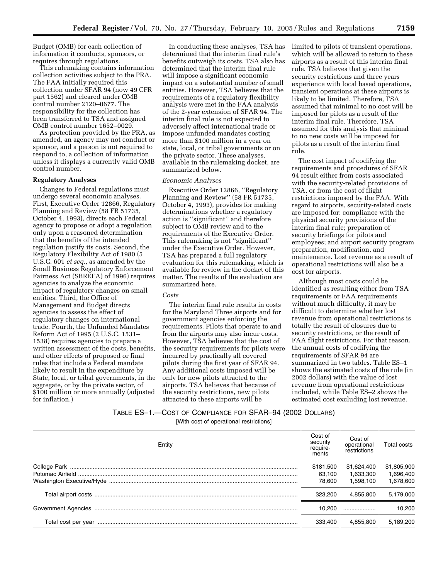Budget (OMB) for each collection of information it conducts, sponsors, or requires through regulations.

This rulemaking contains information collection activities subject to the PRA. The FAA initially required this collection under SFAR 94 (now 49 CFR part 1562) and cleared under OMB control number 2120–0677. The responsibility for the collection has been transferred to TSA and assigned OMB control number 1652–0029.

As protection provided by the PRA, as amended, an agency may not conduct or sponsor, and a person is not required to respond to, a collection of information unless it displays a currently valid OMB control number.

# **Regulatory Analyses**

Changes to Federal regulations must undergo several economic analyses. First, Executive Order 12866, Regulatory Planning and Review (58 FR 51735, October 4, 1993), directs each Federal agency to propose or adopt a regulation only upon a reasoned determination that the benefits of the intended regulation justify its costs. Second, the Regulatory Flexibility Act of 1980 (5 U.S.C. 601 *et seq.*, as amended by the Small Business Regulatory Enforcement Fairness Act (SBREFA) of 1996) requires agencies to analyze the economic impact of regulatory changes on small entities. Third, the Office of Management and Budget directs agencies to assess the effect of regulatory changes on international trade. Fourth, the Unfunded Mandates Reform Act of 1995 (2 U.S.C. 1531– 1538) requires agencies to prepare a written assessment of the costs, benefits, and other effects of proposed or final rules that include a Federal mandate likely to result in the expenditure by State, local, or tribal governments, in the aggregate, or by the private sector, of \$100 million or more annually (adjusted for inflation.)

In conducting these analyses, TSA has determined that the interim final rule's benefits outweigh its costs. TSA also has determined that the interim final rule will impose a significant economic impact on a substantial number of small entities. However, TSA believes that the requirements of a regulatory flexibility analysis were met in the FAA analysis of the 2-year extension of SFAR 94. The interim final rule is not expected to adversely affect international trade or impose unfunded mandates costing more than \$100 million in a year on state, local, or tribal governments or on the private sector. These analyses, available in the rulemaking docket, are summarized below.

#### *Economic Analyses*

Executive Order 12866, ''Regulatory Planning and Review'' (58 FR 51735, October 4, 1993), provides for making determinations whether a regulatory action is ''significant'' and therefore subject to OMB review and to the requirements of the Executive Order. This rulemaking is not ''significant'' under the Executive Order. However, TSA has prepared a full regulatory evaluation for this rulemaking, which is available for review in the docket of this matter. The results of the evaluation are summarized here.

#### *Costs*

The interim final rule results in costs for the Maryland Three airports and for government agencies enforcing the requirements. Pilots that operate to and from the airports may also incur costs. However, TSA believes that the cost of the security requirements for pilots were incurred by practically all covered pilots during the first year of SFAR 94. Any additional costs imposed will be only for new pilots attracted to the airports. TSA believes that because of the security restrictions, new pilots attracted to these airports will be

limited to pilots of transient operations, which will be allowed to return to these airports as a result of this interim final rule. TSA believes that given the security restrictions and three years experience with local based operations, transient operations at these airports is likely to be limited. Therefore, TSA assumed that minimal to no cost will be imposed for pilots as a result of the interim final rule. Therefore, TSA assumed for this analysis that minimal to no new costs will be imposed for pilots as a result of the interim final rule.

The cost impact of codifying the requirements and procedures of SFAR 94 result either from costs associated with the security-related provisions of TSA, or from the cost of flight restrictions imposed by the FAA. With regard to airports, security-related costs are imposed for: compliance with the physical security provisions of the interim final rule; preparation of security briefings for pilots and employees; and airport security program preparation, modification, and maintenance. Lost revenue as a result of operational restrictions will also be a cost for airports.

Although most costs could be identified as resulting either from TSA requirements or FAA requirements without much difficulty, it may be difficult to determine whether lost revenue from operational restrictions is totally the result of closures due to security restrictions, or the result of FAA flight restrictions. For that reason, the annual costs of codifying the requirements of SFAR 94 are summarized in two tables. Table ES–1 shows the estimated costs of the rule (in 2002 dollars) with the value of lost revenue from operational restrictions included, while Table ES–2 shows the estimated cost excluding lost revenue.

# TABLE ES–1.—COST OF COMPLIANCE FOR SFAR–94 (2002 DOLLARS) [With cost of operational restrictions]

| Entity | Cost of<br>security<br>require-<br>ments | Cost of<br>operational<br>restrictions | Total costs |
|--------|------------------------------------------|----------------------------------------|-------------|
|        | \$181,500                                | \$1,624,400                            | \$1,805,900 |
|        | 63,100                                   | 1,633,300                              | 1,696,400   |
|        | 78.600                                   | 1.598.100                              | 1,678,600   |
|        | 323.200                                  | 4,855,800                              | 5,179,000   |
|        | 10.200                                   |                                        | 10.200      |
|        | 333,400                                  | 4,855,800                              | 5,189,200   |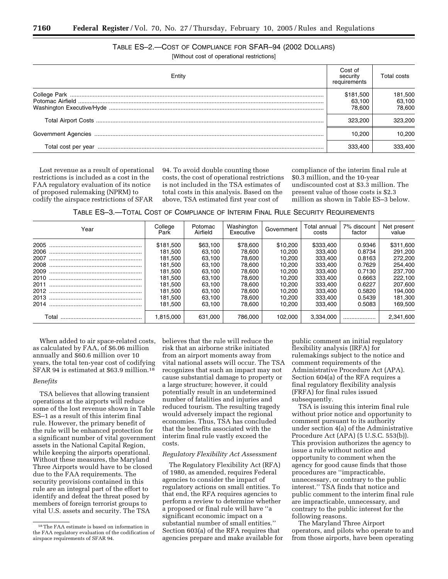# TABLE ES–2.—COST OF COMPLIANCE FOR SFAR–94 (2002 DOLLARS)

[Without cost of operational restrictions]

| Entity | Cost of<br>security<br>requirements | Total costs                 |
|--------|-------------------------------------|-----------------------------|
|        | \$181,500<br>63.100<br>78.600       | 181,500<br>63,100<br>78.600 |
|        | 323.200                             | 323.200                     |
|        | 10.200                              | 10.200                      |
|        | 333,400                             | 333.400                     |

Lost revenue as a result of operational restrictions is included as a cost in the FAA regulatory evaluation of its notice of proposed rulemaking (NPRM) to codify the airspace restrictions of SFAR

94. To avoid double counting those costs, the cost of operational restrictions is not included in the TSA estimates of total costs in this analysis. Based on the above, TSA estimated first year cost of

compliance of the interim final rule at \$0.3 million, and the 10-year undiscounted cost at \$3.3 million. The present value of those costs is \$2.3 million as shown in Table ES–3 below.

TABLE ES–3.—TOTAL COST OF COMPLIANCE OF INTERIM FINAL RULE SECURITY REQUIREMENTS

| Year  | College<br>Park | Potomac<br>Airfield | Washington<br>Executive | Government | Total annual<br>costs | 7% discount<br>factor | Net present<br>value |
|-------|-----------------|---------------------|-------------------------|------------|-----------------------|-----------------------|----------------------|
| 2005  | \$181.500       | \$63,100            | \$78,600                | \$10,200   | \$333,400             | 0.9346                | \$311,600            |
| 2006  | 181.500         | 63.100              | 78.600                  | 10.200     | 333.400               | 0.8734                | 291.200              |
| 2007  | 181.500         | 63.100              | 78,600                  | 10.200     | 333.400               | 0.8163                | 272,200              |
| 2008  | 181.500         | 63.100              | 78.600                  | 10.200     | 333.400               | 0.7629                | 254,400              |
| 2009  | 181.500         | 63.100              | 78.600                  | 10.200     | 333.400               | 0.7130                | 237.700              |
| 2010  | 181.500         | 63.100              | 78,600                  | 10.200     | 333,400               | 0.6663                | 222.100              |
| 2011  | 181.500         | 63.100              | 78.600                  | 10.200     | 333.400               | 0.6227                | 207.600              |
| 2012  | 181.500         | 63.100              | 78.600                  | 10.200     | 333.400               | 0.5820                | 194.000              |
| 2013  | 181.500         | 63.100              | 78,600                  | 10.200     | 333,400               | 0.5439                | 181,300              |
| 2014  | 181.500         | 63.100              | 78,600                  | 10.200     | 333.400               | 0.5083                | 169.500              |
| Total | 1.815.000       | 631.000             | 786,000                 | 102.000    | 3.334.000             |                       | 2.341.600            |

When added to air space-related costs, as calculated by FAA, of \$6.06 million annually and \$60.6 million over 10 years, the total ten-year cost of codifying SFAR 94 is estimated at \$63.9 million.18

# *Benefits*

TSA believes that allowing transient operations at the airports will reduce some of the lost revenue shown in Table ES–1 as a result of this interim final rule. However, the primary benefit of the rule will be enhanced protection for a significant number of vital government assets in the National Capital Region, while keeping the airports operational. Without these measures, the Maryland Three Airports would have to be closed due to the FAA requirements. The security provisions contained in this rule are an integral part of the effort to identify and defeat the threat posed by members of foreign terrorist groups to vital U.S. assets and security. The TSA

believes that the rule will reduce the risk that an airborne strike initiated from an airport moments away from vital national assets will occur. The TSA recognizes that such an impact may not cause substantial damage to property or a large structure; however, it could potentially result in an undetermined number of fatalities and injuries and reduced tourism. The resulting tragedy would adversely impact the regional economies. Thus, TSA has concluded that the benefits associated with the interim final rule vastly exceed the costs.

#### *Regulatory Flexibility Act Assessment*

The Regulatory Flexibility Act (RFA) of 1980, as amended, requires Federal agencies to consider the impact of regulatory actions on small entities. To that end, the RFA requires agencies to perform a review to determine whether a proposed or final rule will have ''a significant economic impact on a substantial number of small entities.'' Section 603(a) of the RFA requires that agencies prepare and make available for

public comment an initial regulatory flexibility analysis (IRFA) for rulemakings subject to the notice and comment requirements of the Administrative Procedure Act (APA). Section 604(a) of the RFA requires a final regulatory flexibility analysis (FRFA) for final rules issued subsequently.

TSA is issuing this interim final rule without prior notice and opportunity to comment pursuant to its authority under section 4(a) of the Administrative Procedure Act (APA) (5 U.S.C. 553(b)). This provision authorizes the agency to issue a rule without notice and opportunity to comment when the agency for good cause finds that those procedures are ''impracticable, unnecessary, or contrary to the public interest.'' TSA finds that notice and public comment to the interim final rule are impracticable, unnecessary, and contrary to the public interest for the following reasons.

The Maryland Three Airport operators, and pilots who operate to and from those airports, have been operating

<sup>18</sup>The FAA estimate is based on information in the FAA regulatory evaluation of the codification of airspace requirements of SFAR 94.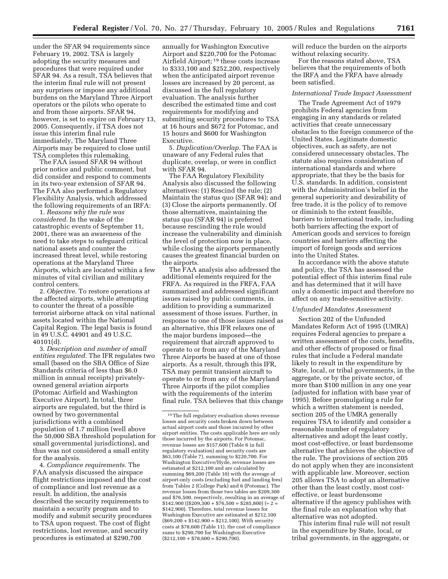under the SFAR 94 requirements since February 19, 2002. TSA is largely adopting the security measures and procedures that were required under SFAR 94. As a result, TSA believes that the interim final rule will not present any surprises or impose any additional burdens on the Maryland Three Airport operators or the pilots who operate to and from those airports. SFAR 94, however, is set to expire on February 13, 2005. Consequently, if TSA does not issue this interim final rule immediately, The Maryland Three Airports may be required to close until TSA completes this rulemaking.

The FAA issued SFAR 94 without prior notice and public comment, but did consider and respond to comments in its two-year extension of SFAR 94. The FAA also performed a Regulatory Flexibility Analysis, which addressed the following requirements of an IRFA:

1. *Reasons why the rule was considered.* In the wake of the catastrophic events of September 11, 2001, there was an awareness of the need to take steps to safeguard critical national assets and counter the increased threat level, while restoring operations at the Maryland Three Airports, which are located within a few minutes of vital civilian and military control centers.

2. *Objective.* To restore operations at the affected airports, while attempting to counter the threat of a possible terrorist airborne attack on vital national assets located within the National Capital Region. The legal basis is found in 49 U.S.C. 44901 and 49 U.S.C. 40101(d).

3. *Description and number of small entities regulated.* The IFR regulates two small (based on the SBA Office of Size Standards criteria of less than \$6.0 million in annual receipts) privatelyowned general aviation airports (Potomac Airfield and Washington Executive Airport). In total, three airports are regulated, but the third is owned by two governmental jurisdictions with a combined population of 1.7 million (well above the 50,000 SBA threshold population for small governmental jurisdictions), and thus was not considered a small entity for the analysis.

4. *Compliance requirements.* The FAA analysis discussed the airspace flight restrictions imposed and the cost of compliance and lost revenue as a result. In addition, the analysis described the security requirements to maintain a security program and to modify and submit security procedures to TSA upon request. The cost of flight restrictions, lost revenue, and security procedures is estimated at \$290,700

annually for Washington Executive Airport and \$220,700 for the Potomac Airfield Airport; 19 these costs increase to \$333,100 and \$252,200, respectively when the anticipated airport revenue losses are increased by 20 percent, as discussed in the full regulatory evaluation. The analysis further described the estimated time and cost requirements for modifying and submitting security procedures to TSA at 16 hours and \$672 for Potomac, and 15 hours and \$600 for Washington Executive.

5. *Duplication/Overlap.* The FAA is unaware of any Federal rules that duplicate, overlap, or were in conflict with SFAR 94.

The FAA Regulatory Flexibility Analysis also discussed the following alternatives: (1) Rescind the rule; (2) Maintain the status quo (SFAR 94); and (3) Close the airports permanently. Of those alternatives, maintaining the status quo (SFAR 94) is preferred because rescinding the rule would increase the vulnerability and diminish the level of protection now in place, while closing the airports permanently causes the greatest financial burden on the airports.

The FAA analysis also addressed the additional elements required for the FRFA. As required in the FRFA, FAA summarized and addressed significant issues raised by public comments, in addition to providing a summarized assessment of those issues. Further, in response to one of those issues raised as an alternative, this IFR relaxes one of the major burdens imposed—the requirement that aircraft approved to operate to or from any of the Maryland Three Airports be based at one of those airports. As a result, through this IFR, TSA may permit transient aircraft to operate to or from any of the Maryland Three Airports if the pilot complies with the requirements of the interim final rule. TSA believes that this change will reduce the burden on the airports without relaxing security.

For the reasons stated above, TSA believes that the requirements of both the IRFA and the FRFA have already been satisfied.

#### *International Trade Impact Assessment*

The Trade Agreement Act of 1979 prohibits Federal agencies from engaging in any standards or related activities that create unnecessary obstacles to the foreign commerce of the United States. Legitimate domestic objectives, such as safety, are not considered unnecessary obstacles. The statute also requires consideration of international standards and where appropriate, that they be the basis for U.S. standards. In addition, consistent with the Administration's belief in the general superiority and desirability of free trade, it is the policy of to remove or diminish to the extent feasible, barriers to international trade, including both barriers affecting the export of American goods and services to foreign countries and barriers affecting the import of foreign goods and services into the United States.

In accordance with the above statute and policy, the TSA has assessed the potential effect of this interim final rule and has determined that it will have only a domestic impact and therefore no affect on any trade-sensitive activity.

## *Unfunded Mandates Assessment*

Section 202 of the Unfunded Mandates Reform Act of 1995 (UMRA) requires Federal agencies to prepare a written assessment of the costs, benefits, and other effects of proposed or final rules that include a Federal mandate likely to result in the expenditure by State, local, or tribal governments, in the aggregate, or by the private sector, of more than \$100 million in any one year (adjusted for inflation with base year of 1995). Before promulgating a rule for which a written statement is needed, section 205 of the UMRA generally requires TSA to identify and consider a reasonable number of regulatory alternatives and adopt the least costly, most cost-effective, or least burdensome alternative that achieves the objective of the rule. The provisions of section 205 do not apply when they are inconsistent with applicable law. Moreover, section 205 allows TSA to adopt an alternative other than the least costly, most costeffective, or least burdensome alternative if the agency publishes with the final rule an explanation why that alternative was not adopted.

This interim final rule will not result in the expenditure by State, local, or tribal governments, in the aggregate, or

<sup>19</sup>The full regulatory evaluation shows revenue losses and security costs broken down between actual airport costs and those incurred by other airport entities. The costs applicable here are only those incurred by the airports. For Potomac, revenue losses are \$157,600 (Table 6 in full regulatory evaluation) and security costs are \$63,100 (Table 7), summing to \$220,700. For Washington Executive/Hyde, revenue losses are estimated at \$212,100 and are calculated by summing \$69,200 (Table 10) with the average of airport-only costs (excluding fuel and landing fees) from Tables 2 (College Park) and 6 (Potomac). The revenue losses from those two tables are \$209,300 and \$76,500, respectively, resulting in an average of  $$142,900$  ((\$209,300 + \$76,500 = \$285,800) (÷ 2 = \$142,900). Therefore, total revenue losses for Washington Executive are estimated at \$212,100  $($69,200 + $142,900 = $212,100)$ . With security costs at \$78,600 (Table 11), the cost of compliance sums to \$290,700 for Washington Executive  $($212,100 + $78,600 = $290,700).$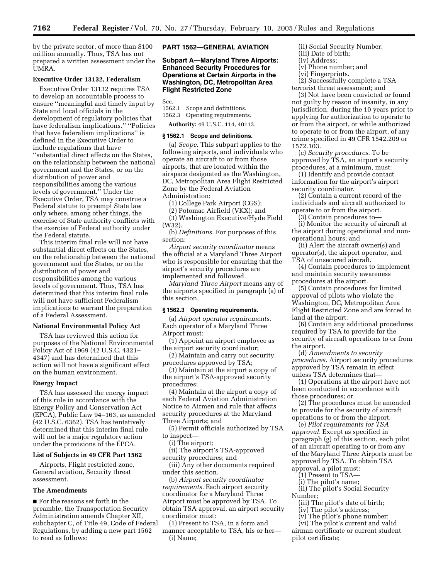by the private sector, of more than \$100 million annually. Thus, TSA has not prepared a written assessment under the UMRA.

# **Executive Order 13132, Federalism**

Executive Order 13132 requires TSA to develop an accountable process to ensure ''meaningful and timely input by State and local officials in the development of regulatory policies that have federalism implications.'' ''Policies that have federalism implications'' is defined in the Executive Order to include regulations that have ''substantial direct effects on the States, on the relationship between the national government and the States, or on the distribution of power and responsibilities among the various levels of government.'' Under the Executive Order, TSA may construe a Federal statute to preempt State law only where, among other things, the exercise of State authority conflicts with the exercise of Federal authority under the Federal statute.

This interim final rule will not have substantial direct effects on the States, on the relationship between the national government and the States, or on the distribution of power and responsibilities among the various levels of government. Thus, TSA has determined that this interim final rule will not have sufficient Federalism implications to warrant the preparation of a Federal Assessment.

# **National Environmental Policy Act**

TSA has reviewed this action for purposes of the National Environmental Policy Act of 1969 (42 U.S.C. 4321– 4347) and has determined that this action will not have a significant effect on the human environment.

#### **Energy Impact**

TSA has assessed the energy impact of this rule in accordance with the Energy Policy and Conservation Act (EPCA), Public Law 94–163, as amended (42 U.S.C. 6362). TSA has tentatively determined that this interim final rule will not be a major regulatory action under the provisions of the EPCA.

#### **List of Subjects in 49 CFR Part 1562**

Airports, Flight restricted zone, General aviation, Security threat assessment.

#### **The Amendments**

■ For the reasons set forth in the preamble, the Transportation Security Administration amends Chapter XII, subchapter C, of Title 49, Code of Federal Regulations, by adding a new part 1562 to read as follows:

# **PART 1562—GENERAL AVIATION**

**Subpart A—Maryland Three Airports: Enhanced Security Procedures for Operations at Certain Airports in the Washington, DC, Metropolitan Area Flight Restricted Zone**

Sec.<br>1562.1

1562.1 Scope and definitions.<br>1562.3 Operating requirement

Operating requirements.

**Authority:** 49 U.S.C. 114, 40113.

#### **§ 1562.1 Scope and definitions.**

(a) *Scope.* This subpart applies to the following airports, and individuals who operate an aircraft to or from those airports, that are located within the airspace designated as the Washington, DC, Metropolitan Area Flight Restricted Zone by the Federal Aviation Administration:

(1) College Park Airport (CGS);

(2) Potomac Airfield (VKX); and

(3) Washington Executive/Hyde Field (W32).

(b) *Definitions.* For purposes of this section:

*Airport security coordinator* means the official at a Maryland Three Airport who is responsible for ensuring that the airport's security procedures are implemented and followed.

*Maryland Three Airport* means any of the airports specified in paragraph (a) of this section.

#### **§ 1562.3 Operating requirements.**

(a) *Airport operator requirements.* Each operator of a Maryland Three Airport must:

(1) Appoint an airport employee as the airport security coordinator;

(2) Maintain and carry out security procedures approved by TSA;

(3) Maintain at the airport a copy of the airport's TSA-approved security procedures;

(4) Maintain at the airport a copy of each Federal Aviation Administration Notice to Airmen and rule that affects security procedures at the Maryland Three Airports; and

(5) Permit officials authorized by TSA to inspect—

(i) The airport;

(ii) The airport's TSA-approved security procedures; and

(iii) Any other documents required under this section.

(b) *Airport security coordinator requirements.* Each airport security coordinator for a Maryland Three Airport must be approved by TSA. To obtain TSA approval, an airport security coordinator must:

(1) Present to TSA, in a form and manner acceptable to TSA, his or her— (i) Name;

(ii) Social Security Number;

- (iii) Date of birth;
- (iv) Address;
- (v) Phone number; and (vi) Fingerprints.
- 

(2) Successfully complete a TSA terrorist threat assessment; and

(3) Not have been convicted or found not guilty by reason of insanity, in any jurisdiction, during the 10 years prior to applying for authorization to operate to or from the airport, or while authorized to operate to or from the airport, of any crime specified in 49 CFR 1542.209 or 1572.103.

(c) *Security procedures.* To be approved by TSA, an airport's security procedures, at a minimum, must:

(1) Identify and provide contact information for the airport's airport security coordinator.

(2) Contain a current record of the individuals and aircraft authorized to operate to or from the airport.

(3) Contain procedures to—

(i) Monitor the security of aircraft at the airport during operational and nonoperational hours; and

(ii) Alert the aircraft owner(s) and operator(s), the airport operator, and TSA of unsecured aircraft.

(4) Contain procedures to implement and maintain security awareness procedures at the airport.

(5) Contain procedures for limited approval of pilots who violate the Washington, DC, Metropolitan Area Flight Restricted Zone and are forced to land at the airport.

(6) Contain any additional procedures required by TSA to provide for the security of aircraft operations to or from the airport.

(d) *Amendments to security procedures.* Airport security procedures approved by TSA remain in effect unless TSA determines that—

(1) Operations at the airport have not been conducted in accordance with those procedures; or

(2) The procedures must be amended to provide for the security of aircraft operations to or from the airport.

(e) *Pilot requirements for TSA approval.* Except as specified in paragraph (g) of this section, each pilot of an aircraft operating to or from any of the Maryland Three Airports must be approved by TSA. To obtain TSA approval, a pilot must:

(1) Present to TSA—

(i) The pilot's name;

(ii) The pilot's Social Security Number;

(iii) The pilot's date of birth;

(iv) The pilot's address;

(v) The pilot's phone number;

(vi) The pilot's current and valid airman certificate or current student pilot certificate;